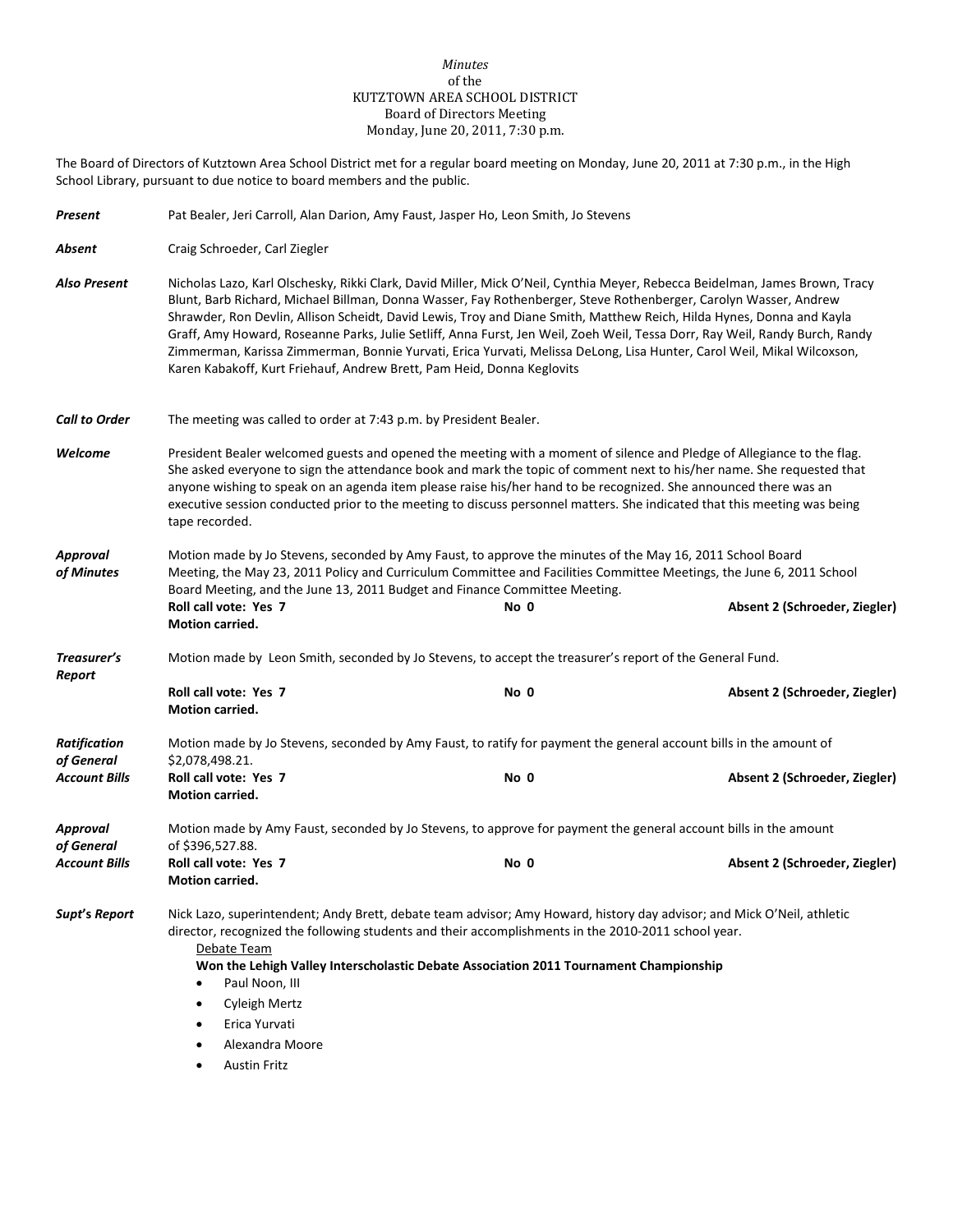### *Minutes* of the KUTZTOWN AREA SCHOOL DISTRICT Board of Directors Meeting Monday, June 20, 2011, 7:30 p.m.

The Board of Directors of Kutztown Area School District met for a regular board meeting on Monday, June 20, 2011 at 7:30 p.m., in the High School Library, pursuant to due notice to board members and the public.

| Present                           | Pat Bealer, Jeri Carroll, Alan Darion, Amy Faust, Jasper Ho, Leon Smith, Jo Stevens                                                                                                                                                                                                                                                                                                                                                                                                                                                                                                                                                                                                                         |                                                                                                                                                                                                                                                                                                                        |                               |  |  |  |
|-----------------------------------|-------------------------------------------------------------------------------------------------------------------------------------------------------------------------------------------------------------------------------------------------------------------------------------------------------------------------------------------------------------------------------------------------------------------------------------------------------------------------------------------------------------------------------------------------------------------------------------------------------------------------------------------------------------------------------------------------------------|------------------------------------------------------------------------------------------------------------------------------------------------------------------------------------------------------------------------------------------------------------------------------------------------------------------------|-------------------------------|--|--|--|
| Absent                            | Craig Schroeder, Carl Ziegler                                                                                                                                                                                                                                                                                                                                                                                                                                                                                                                                                                                                                                                                               |                                                                                                                                                                                                                                                                                                                        |                               |  |  |  |
| <b>Also Present</b>               | Nicholas Lazo, Karl Olschesky, Rikki Clark, David Miller, Mick O'Neil, Cynthia Meyer, Rebecca Beidelman, James Brown, Tracy<br>Blunt, Barb Richard, Michael Billman, Donna Wasser, Fay Rothenberger, Steve Rothenberger, Carolyn Wasser, Andrew<br>Shrawder, Ron Devlin, Allison Scheidt, David Lewis, Troy and Diane Smith, Matthew Reich, Hilda Hynes, Donna and Kayla<br>Graff, Amy Howard, Roseanne Parks, Julie Setliff, Anna Furst, Jen Weil, Zoeh Weil, Tessa Dorr, Ray Weil, Randy Burch, Randy<br>Zimmerman, Karissa Zimmerman, Bonnie Yurvati, Erica Yurvati, Melissa DeLong, Lisa Hunter, Carol Weil, Mikal Wilcoxson,<br>Karen Kabakoff, Kurt Friehauf, Andrew Brett, Pam Heid, Donna Keglovits |                                                                                                                                                                                                                                                                                                                        |                               |  |  |  |
| <b>Call to Order</b>              | The meeting was called to order at 7:43 p.m. by President Bealer.                                                                                                                                                                                                                                                                                                                                                                                                                                                                                                                                                                                                                                           |                                                                                                                                                                                                                                                                                                                        |                               |  |  |  |
| Welcome                           | President Bealer welcomed guests and opened the meeting with a moment of silence and Pledge of Allegiance to the flag.<br>She asked everyone to sign the attendance book and mark the topic of comment next to his/her name. She requested that<br>anyone wishing to speak on an agenda item please raise his/her hand to be recognized. She announced there was an<br>executive session conducted prior to the meeting to discuss personnel matters. She indicated that this meeting was being<br>tape recorded.                                                                                                                                                                                           |                                                                                                                                                                                                                                                                                                                        |                               |  |  |  |
| Approval<br>of Minutes            | Motion made by Jo Stevens, seconded by Amy Faust, to approve the minutes of the May 16, 2011 School Board<br>Meeting, the May 23, 2011 Policy and Curriculum Committee and Facilities Committee Meetings, the June 6, 2011 School<br>Board Meeting, and the June 13, 2011 Budget and Finance Committee Meeting.<br>Roll call vote: Yes 7<br>Absent 2 (Schroeder, Ziegler)<br>No 0                                                                                                                                                                                                                                                                                                                           |                                                                                                                                                                                                                                                                                                                        |                               |  |  |  |
| Treasurer's                       | <b>Motion carried.</b>                                                                                                                                                                                                                                                                                                                                                                                                                                                                                                                                                                                                                                                                                      |                                                                                                                                                                                                                                                                                                                        |                               |  |  |  |
| Report                            | Motion made by Leon Smith, seconded by Jo Stevens, to accept the treasurer's report of the General Fund.                                                                                                                                                                                                                                                                                                                                                                                                                                                                                                                                                                                                    |                                                                                                                                                                                                                                                                                                                        |                               |  |  |  |
|                                   | Roll call vote: Yes 7<br>Motion carried.                                                                                                                                                                                                                                                                                                                                                                                                                                                                                                                                                                                                                                                                    | No 0                                                                                                                                                                                                                                                                                                                   | Absent 2 (Schroeder, Ziegler) |  |  |  |
| <b>Ratification</b><br>of General | Motion made by Jo Stevens, seconded by Amy Faust, to ratify for payment the general account bills in the amount of<br>\$2,078,498.21.                                                                                                                                                                                                                                                                                                                                                                                                                                                                                                                                                                       |                                                                                                                                                                                                                                                                                                                        |                               |  |  |  |
| <b>Account Bills</b>              | Roll call vote: Yes 7<br>Motion carried.                                                                                                                                                                                                                                                                                                                                                                                                                                                                                                                                                                                                                                                                    | No 0                                                                                                                                                                                                                                                                                                                   | Absent 2 (Schroeder, Ziegler) |  |  |  |
| Approval<br>of General            | Motion made by Amy Faust, seconded by Jo Stevens, to approve for payment the general account bills in the amount<br>of \$396,527.88.                                                                                                                                                                                                                                                                                                                                                                                                                                                                                                                                                                        |                                                                                                                                                                                                                                                                                                                        |                               |  |  |  |
| <b>Account Bills</b>              | Roll call vote: Yes 7<br><b>Motion carried.</b>                                                                                                                                                                                                                                                                                                                                                                                                                                                                                                                                                                                                                                                             | No 0                                                                                                                                                                                                                                                                                                                   | Absent 2 (Schroeder, Ziegler) |  |  |  |
| Supt's Report                     | Debate Team<br>Paul Noon, III<br>$\bullet$<br><b>Cyleigh Mertz</b><br>$\bullet$<br>Erica Yurvati<br>٠<br>Alexandra Moore<br><b>Austin Fritz</b>                                                                                                                                                                                                                                                                                                                                                                                                                                                                                                                                                             | Nick Lazo, superintendent; Andy Brett, debate team advisor; Amy Howard, history day advisor; and Mick O'Neil, athletic<br>director, recognized the following students and their accomplishments in the 2010-2011 school year.<br>Won the Lehigh Valley Interscholastic Debate Association 2011 Tournament Championship |                               |  |  |  |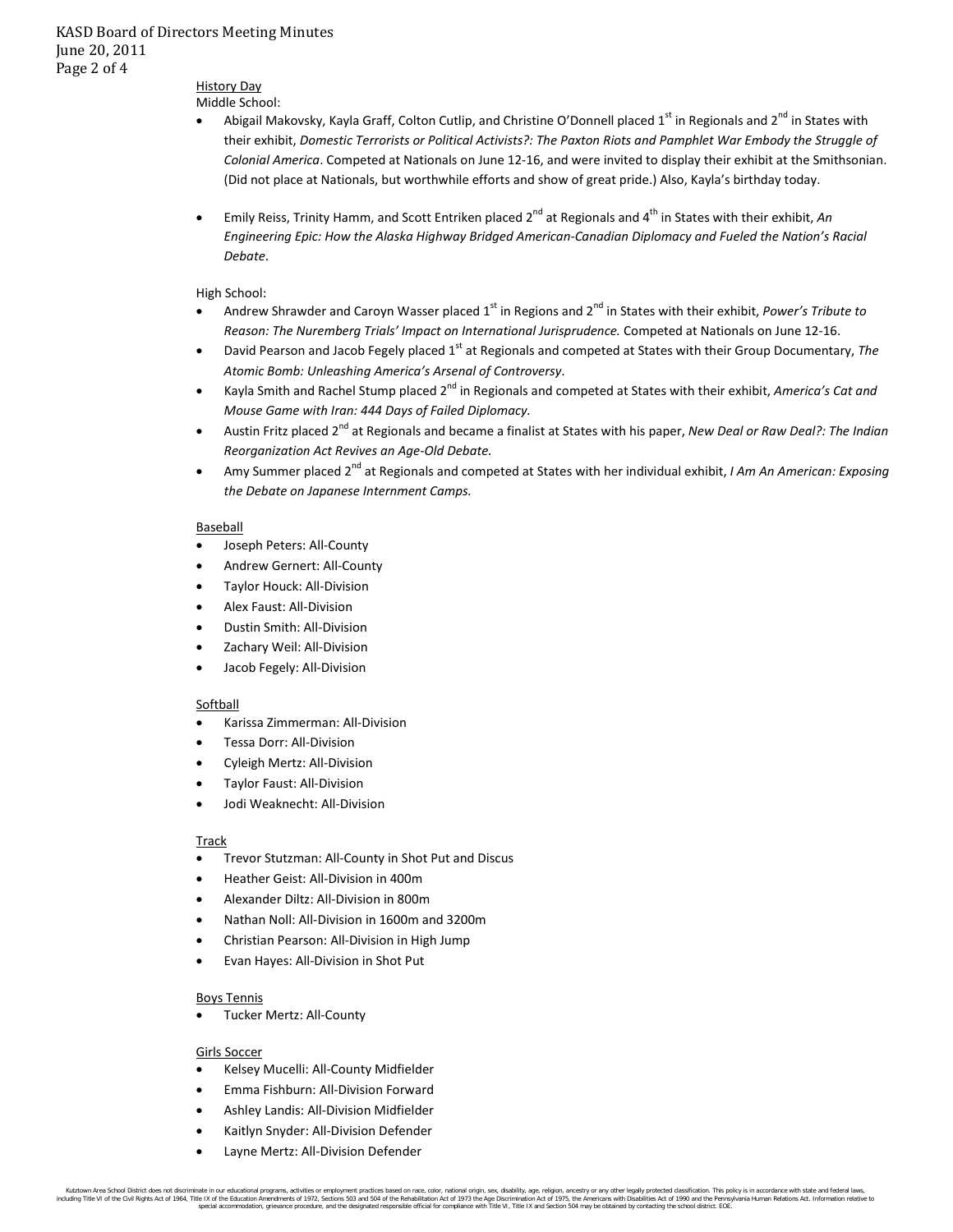# History Day

Middle School:

- Abigail Makovsky, Kayla Graff, Colton Cutlip, and Christine O'Donnell placed 1<sup>st</sup> in Regionals and 2<sup>nd</sup> in States with their exhibit, *Domestic Terrorists or Political Activists?: The Paxton Riots and Pamphlet War Embody the Struggle of Colonial America*. Competed at Nationals on June 12-16, and were invited to display their exhibit at the Smithsonian. (Did not place at Nationals, but worthwhile efforts and show of great pride.) Also, Kayla's birthday today.
- Emily Reiss, Trinity Hamm, and Scott Entriken placed 2<sup>nd</sup> at Regionals and 4<sup>th</sup> in States with their exhibit, *An Engineering Epic: How the Alaska Highway Bridged American-Canadian Diplomacy and Fueled the Nation's Racial Debate*.

### High School:

- Andrew Shrawder and Caroyn Wasser placed 1st in Regions and 2nd in States with their exhibit, *Power's Tribute to Reason: The Nuremberg Trials' Impact on International Jurisprudence.* Competed at Nationals on June 12-16.
- David Pearson and Jacob Fegely placed 1<sup>st</sup> at Regionals and competed at States with their Group Documentary, The *Atomic Bomb: Unleashing America's Arsenal of Controversy*.
- Kayla Smith and Rachel Stump placed 2nd in Regionals and competed at States with their exhibit, *America's Cat and Mouse Game with Iran: 444 Days of Failed Diplomacy.*
- Austin Fritz placed 2<sup>nd</sup> at Regionals and became a finalist at States with his paper, *New Deal or Raw Deal?: The Indian Reorganization Act Revives an Age-Old Debate.*
- Amy Summer placed 2nd at Regionals and competed at States with her individual exhibit, *I Am An American: Exposing the Debate on Japanese Internment Camps.*

#### Baseball

- Joseph Peters: All-County
- Andrew Gernert: All-County
- Taylor Houck: All-Division
- Alex Faust: All-Division
- Dustin Smith: All-Division
- Zachary Weil: All-Division
- Jacob Fegely: All-Division

#### Softball

- Karissa Zimmerman: All-Division
- Tessa Dorr: All-Division
- Cyleigh Mertz: All-Division
- Taylor Faust: All-Division
- Jodi Weaknecht: All-Division

## Track

- Trevor Stutzman: All-County in Shot Put and Discus
- Heather Geist: All-Division in 400m
- Alexander Diltz: All-Division in 800m
- Nathan Noll: All-Division in 1600m and 3200m
- Christian Pearson: All-Division in High Jump
- Evan Hayes: All-Division in Shot Put

## Boys Tennis

• Tucker Mertz: All-County

## Girls Soccer

- Kelsey Mucelli: All-County Midfielder
- Emma Fishburn: All-Division Forward
- Ashley Landis: All-Division Midfielder
- Kaitlyn Snyder: All-Division Defender
- Layne Mertz: All-Division Defender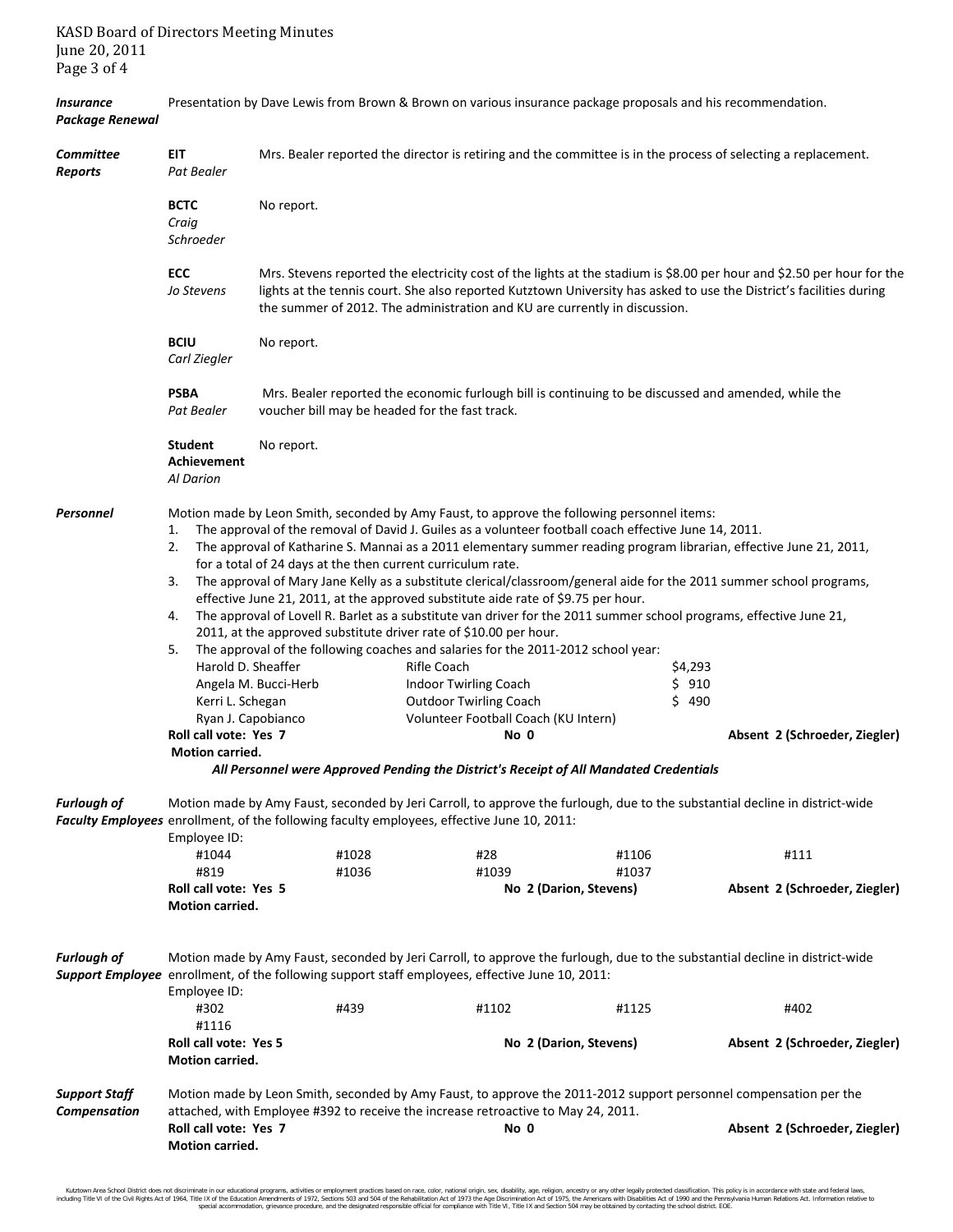| <b>Package Renewal</b>             |                                                                                                                                                                                                                                                 |                                                                                                                                                                                                                                                                                                                             |                                                                                                                                                                                                                                                                                                                                                                                                                                                                                                                                                                                                                                                                                                                                                                                               |                                 |                                                                                                                                                                                                                                                                              |  |
|------------------------------------|-------------------------------------------------------------------------------------------------------------------------------------------------------------------------------------------------------------------------------------------------|-----------------------------------------------------------------------------------------------------------------------------------------------------------------------------------------------------------------------------------------------------------------------------------------------------------------------------|-----------------------------------------------------------------------------------------------------------------------------------------------------------------------------------------------------------------------------------------------------------------------------------------------------------------------------------------------------------------------------------------------------------------------------------------------------------------------------------------------------------------------------------------------------------------------------------------------------------------------------------------------------------------------------------------------------------------------------------------------------------------------------------------------|---------------------------------|------------------------------------------------------------------------------------------------------------------------------------------------------------------------------------------------------------------------------------------------------------------------------|--|
| <b>Committee</b><br><b>Reports</b> | EIT<br>Pat Bealer                                                                                                                                                                                                                               | Mrs. Bealer reported the director is retiring and the committee is in the process of selecting a replacement.                                                                                                                                                                                                               |                                                                                                                                                                                                                                                                                                                                                                                                                                                                                                                                                                                                                                                                                                                                                                                               |                                 |                                                                                                                                                                                                                                                                              |  |
|                                    | <b>BCTC</b><br>Craig<br>Schroeder                                                                                                                                                                                                               | No report.                                                                                                                                                                                                                                                                                                                  |                                                                                                                                                                                                                                                                                                                                                                                                                                                                                                                                                                                                                                                                                                                                                                                               |                                 |                                                                                                                                                                                                                                                                              |  |
|                                    | ECC<br>Jo Stevens                                                                                                                                                                                                                               | Mrs. Stevens reported the electricity cost of the lights at the stadium is \$8.00 per hour and \$2.50 per hour for the<br>lights at the tennis court. She also reported Kutztown University has asked to use the District's facilities during<br>the summer of 2012. The administration and KU are currently in discussion. |                                                                                                                                                                                                                                                                                                                                                                                                                                                                                                                                                                                                                                                                                                                                                                                               |                                 |                                                                                                                                                                                                                                                                              |  |
|                                    | <b>BCIU</b><br>Carl Ziegler                                                                                                                                                                                                                     | No report.                                                                                                                                                                                                                                                                                                                  |                                                                                                                                                                                                                                                                                                                                                                                                                                                                                                                                                                                                                                                                                                                                                                                               |                                 |                                                                                                                                                                                                                                                                              |  |
|                                    | <b>PSBA</b><br>Pat Bealer                                                                                                                                                                                                                       | Mrs. Bealer reported the economic furlough bill is continuing to be discussed and amended, while the<br>voucher bill may be headed for the fast track.                                                                                                                                                                      |                                                                                                                                                                                                                                                                                                                                                                                                                                                                                                                                                                                                                                                                                                                                                                                               |                                 |                                                                                                                                                                                                                                                                              |  |
|                                    | <b>Student</b><br>Achievement<br>Al Darion                                                                                                                                                                                                      | No report.                                                                                                                                                                                                                                                                                                                  |                                                                                                                                                                                                                                                                                                                                                                                                                                                                                                                                                                                                                                                                                                                                                                                               |                                 |                                                                                                                                                                                                                                                                              |  |
| Personnel                          | 1.<br>2.<br>3.<br>4.<br>5.<br>Harold D. Sheaffer<br>Kerri L. Schegan<br>Ryan J. Capobianco<br>Roll call vote: Yes 7<br>Motion carried.                                                                                                          | for a total of 24 days at the then current curriculum rate.<br>Angela M. Bucci-Herb                                                                                                                                                                                                                                         | Motion made by Leon Smith, seconded by Amy Faust, to approve the following personnel items:<br>The approval of the removal of David J. Guiles as a volunteer football coach effective June 14, 2011.<br>effective June 21, 2011, at the approved substitute aide rate of \$9.75 per hour.<br>The approval of Lovell R. Barlet as a substitute van driver for the 2011 summer school programs, effective June 21,<br>2011, at the approved substitute driver rate of \$10.00 per hour.<br>The approval of the following coaches and salaries for the 2011-2012 school year:<br>Rifle Coach<br>Indoor Twirling Coach<br><b>Outdoor Twirling Coach</b><br>Volunteer Football Coach (KU Intern)<br>No 0<br>All Personnel were Approved Pending the District's Receipt of All Mandated Credentials | \$4,293<br>\$910<br>\$490       | The approval of Katharine S. Mannai as a 2011 elementary summer reading program librarian, effective June 21, 2011,<br>The approval of Mary Jane Kelly as a substitute clerical/classroom/general aide for the 2011 summer school programs,<br>Absent 2 (Schroeder, Ziegler) |  |
| <b>Furlough of</b>                 | Motion made by Amy Faust, seconded by Jeri Carroll, to approve the furlough, due to the substantial decline in district-wide<br>Faculty Employees enrollment, of the following faculty employees, effective June 10, 2011:<br>Employee ID:      |                                                                                                                                                                                                                                                                                                                             |                                                                                                                                                                                                                                                                                                                                                                                                                                                                                                                                                                                                                                                                                                                                                                                               |                                 |                                                                                                                                                                                                                                                                              |  |
|                                    | #1044                                                                                                                                                                                                                                           | #1028                                                                                                                                                                                                                                                                                                                       | #28                                                                                                                                                                                                                                                                                                                                                                                                                                                                                                                                                                                                                                                                                                                                                                                           | #1106                           | #111                                                                                                                                                                                                                                                                         |  |
|                                    | #819<br>Roll call vote: Yes 5<br><b>Motion carried.</b>                                                                                                                                                                                         | #1036                                                                                                                                                                                                                                                                                                                       | #1039                                                                                                                                                                                                                                                                                                                                                                                                                                                                                                                                                                                                                                                                                                                                                                                         | #1037<br>No 2 (Darion, Stevens) | Absent 2 (Schroeder, Ziegler)                                                                                                                                                                                                                                                |  |
| <b>Furlough of</b>                 | Motion made by Amy Faust, seconded by Jeri Carroll, to approve the furlough, due to the substantial decline in district-wide<br>Support Employee enrollment, of the following support staff employees, effective June 10, 2011:<br>Employee ID: |                                                                                                                                                                                                                                                                                                                             |                                                                                                                                                                                                                                                                                                                                                                                                                                                                                                                                                                                                                                                                                                                                                                                               |                                 |                                                                                                                                                                                                                                                                              |  |
|                                    | #302                                                                                                                                                                                                                                            | #439                                                                                                                                                                                                                                                                                                                        | #1102                                                                                                                                                                                                                                                                                                                                                                                                                                                                                                                                                                                                                                                                                                                                                                                         | #1125                           | #402                                                                                                                                                                                                                                                                         |  |
|                                    | #1116<br>Roll call vote: Yes 5<br><b>Motion carried.</b>                                                                                                                                                                                        |                                                                                                                                                                                                                                                                                                                             |                                                                                                                                                                                                                                                                                                                                                                                                                                                                                                                                                                                                                                                                                                                                                                                               | No 2 (Darion, Stevens)          | Absent 2 (Schroeder, Ziegler)                                                                                                                                                                                                                                                |  |
| <b>Support Staff</b>               | Motion made by Leon Smith, seconded by Amy Faust, to approve the 2011-2012 support personnel compensation per the                                                                                                                               |                                                                                                                                                                                                                                                                                                                             |                                                                                                                                                                                                                                                                                                                                                                                                                                                                                                                                                                                                                                                                                                                                                                                               |                                 |                                                                                                                                                                                                                                                                              |  |
| Compensation                       | Roll call vote: Yes 7<br>Motion carried.                                                                                                                                                                                                        |                                                                                                                                                                                                                                                                                                                             | attached, with Employee #392 to receive the increase retroactive to May 24, 2011.<br>No 0                                                                                                                                                                                                                                                                                                                                                                                                                                                                                                                                                                                                                                                                                                     |                                 | Absent 2 (Schroeder, Ziegler)                                                                                                                                                                                                                                                |  |

*Insurance* Presentation by Dave Lewis from Brown & Brown on various insurance package proposals and his recommendation.